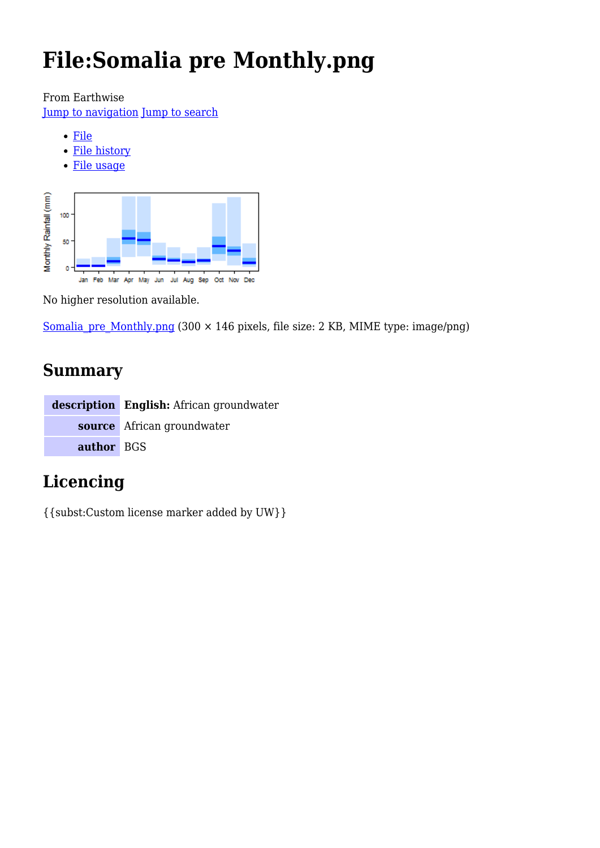# **File:Somalia pre Monthly.png**

From Earthwise

[Jump to navigation](#page--1-0) [Jump to search](#page--1-0)

- [File](#page--1-0)
- [File history](#page--1-0)
- [File usage](#page--1-0)



No higher resolution available.

Somalia pre Monthly.png (300  $\times$  146 pixels, file size: 2 KB, MIME type: image/png)

# **Summary**

|            | description English: African groundwater |
|------------|------------------------------------------|
|            | source African groundwater               |
| author BGS |                                          |

# **Licencing**

{{subst:Custom license marker added by UW}}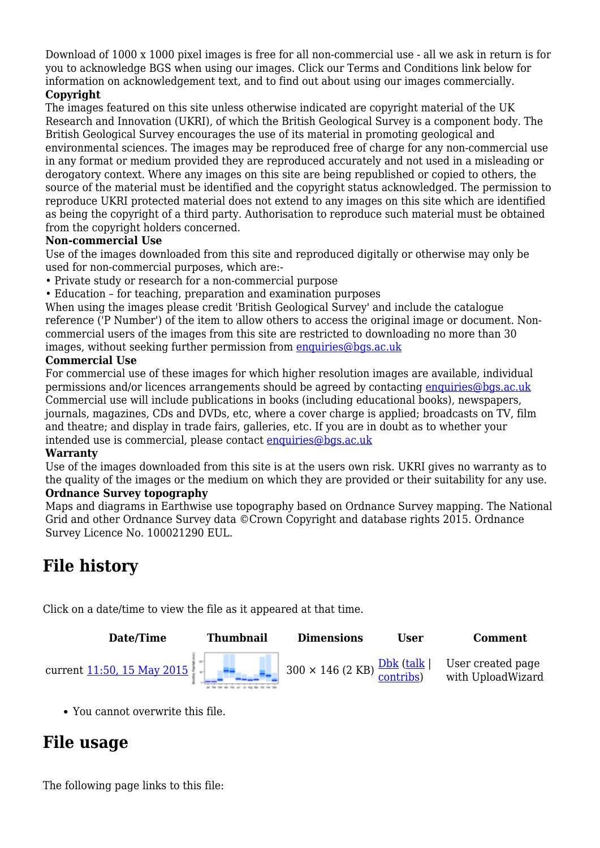Download of 1000 x 1000 pixel images is free for all non-commercial use - all we ask in return is for you to acknowledge BGS when using our images. Click our Terms and Conditions link below for information on acknowledgement text, and to find out about using our images commercially.

#### **Copyright**

The images featured on this site unless otherwise indicated are copyright material of the UK Research and Innovation (UKRI), of which the British Geological Survey is a component body. The British Geological Survey encourages the use of its material in promoting geological and environmental sciences. The images may be reproduced free of charge for any non-commercial use in any format or medium provided they are reproduced accurately and not used in a misleading or derogatory context. Where any images on this site are being republished or copied to others, the source of the material must be identified and the copyright status acknowledged. The permission to reproduce UKRI protected material does not extend to any images on this site which are identified as being the copyright of a third party. Authorisation to reproduce such material must be obtained from the copyright holders concerned.

#### **Non-commercial Use**

Use of the images downloaded from this site and reproduced digitally or otherwise may only be used for non-commercial purposes, which are:-

- Private study or research for a non-commercial purpose
- Education for teaching, preparation and examination purposes

When using the images please credit 'British Geological Survey' and include the catalogue reference ('P Number') of the item to allow others to access the original image or document. Noncommercial users of the images from this site are restricted to downloading no more than 30 images, without seeking further permission from [enquiries@bgs.ac.uk](mailto:enquiries@bgs.ac.uk)

#### **Commercial Use**

For commercial use of these images for which higher resolution images are available, individual permissions and/or licences arrangements should be agreed by contacting [enquiries@bgs.ac.uk](mailto:enquiries@bgs.ac.uk) Commercial use will include publications in books (including educational books), newspapers, journals, magazines, CDs and DVDs, etc, where a cover charge is applied; broadcasts on TV, film and theatre; and display in trade fairs, galleries, etc. If you are in doubt as to whether your intended use is commercial, please contact [enquiries@bgs.ac.uk](mailto:enquiries@bgs.ac.uk)

#### **Warranty**

Use of the images downloaded from this site is at the users own risk. UKRI gives no warranty as to the quality of the images or the medium on which they are provided or their suitability for any use. **Ordnance Survey topography**

Maps and diagrams in Earthwise use topography based on Ordnance Survey mapping. The National Grid and other Ordnance Survey data ©Crown Copyright and database rights 2015. Ordnance Survey Licence No. 100021290 EUL.

# **File history**

Click on a date/time to view the file as it appeared at that time.



You cannot overwrite this file.

# **File usage**

The following page links to this file: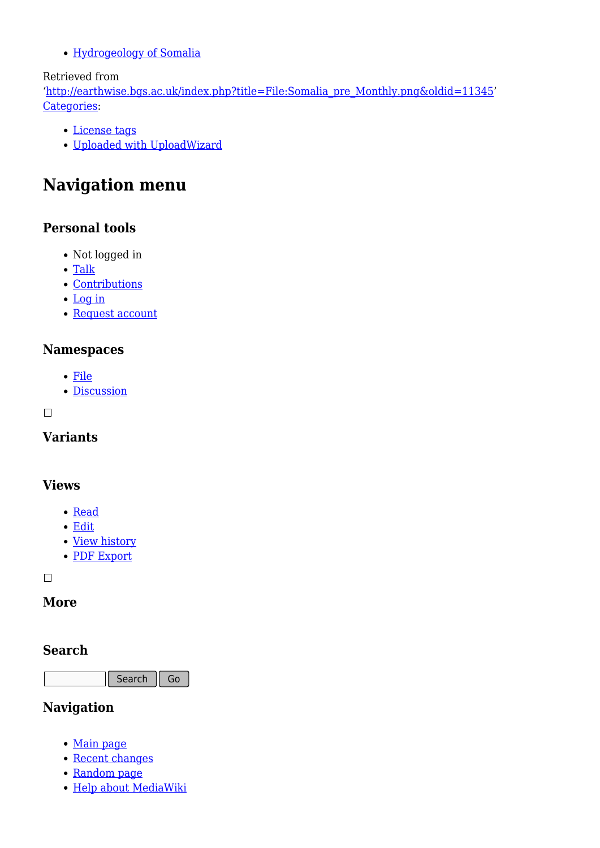[Hydrogeology of Somalia](http://earthwise.bgs.ac.uk/index.php/Hydrogeology_of_Somalia)

#### Retrieved from

'[http://earthwise.bgs.ac.uk/index.php?title=File:Somalia\\_pre\\_Monthly.png&oldid=11345](http://earthwise.bgs.ac.uk/index.php?title=File:Somalia_pre_Monthly.png&oldid=11345)' [Categories:](http://earthwise.bgs.ac.uk/index.php/Special:Categories)

- [License tags](http://earthwise.bgs.ac.uk/index.php/Category:License_tags)
- [Uploaded with UploadWizard](http://earthwise.bgs.ac.uk/index.php/Category:Uploaded_with_UploadWizard)

# **Navigation menu**

### **Personal tools**

- Not logged in
- [Talk](http://earthwise.bgs.ac.uk/index.php/Special:MyTalk)
- [Contributions](http://earthwise.bgs.ac.uk/index.php/Special:MyContributions)
- [Log in](http://earthwise.bgs.ac.uk/index.php?title=Special:UserLogin&returnto=File%3ASomalia+pre+Monthly.png&returntoquery=action%3Dmpdf)
- [Request account](http://earthwise.bgs.ac.uk/index.php/Special:RequestAccount)

### **Namespaces**

- [File](http://earthwise.bgs.ac.uk/index.php/File:Somalia_pre_Monthly.png)
- [Discussion](http://earthwise.bgs.ac.uk/index.php?title=File_talk:Somalia_pre_Monthly.png&action=edit&redlink=1)

### $\Box$

**Variants**

### **Views**

- [Read](http://earthwise.bgs.ac.uk/index.php/File:Somalia_pre_Monthly.png)
- [Edit](http://earthwise.bgs.ac.uk/index.php?title=File:Somalia_pre_Monthly.png&action=edit)
- [View history](http://earthwise.bgs.ac.uk/index.php?title=File:Somalia_pre_Monthly.png&action=history)
- [PDF Export](http://earthwise.bgs.ac.uk/index.php?title=File:Somalia_pre_Monthly.png&action=mpdf)

 $\Box$ 

### **More**

### **Search**

Search Go

### **Navigation**

- [Main page](http://earthwise.bgs.ac.uk/index.php/Main_Page)
- [Recent changes](http://earthwise.bgs.ac.uk/index.php/Special:RecentChanges)
- [Random page](http://earthwise.bgs.ac.uk/index.php/Special:Random)
- [Help about MediaWiki](https://www.mediawiki.org/wiki/Special:MyLanguage/Help:Contents)